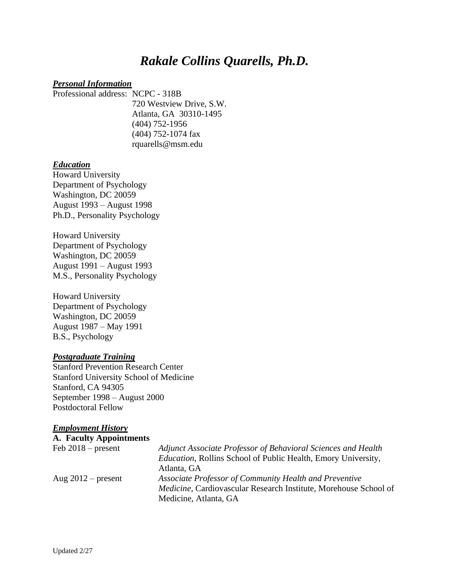# *Rakale Collins Quarells, Ph.D.*

#### *Personal Information*

Professional address: NCPC - 318B 720 Westview Drive, S.W. Atlanta, GA 30310-1495 (404) 752-1956 (404) 752-1074 fax rquarells@msm.edu

### *Education*

Howard University Department of Psychology Washington, DC 20059 August 1993 – August 1998 Ph.D., Personality Psychology

Howard University Department of Psychology Washington, DC 20059 August 1991 – August 1993 M.S., Personality Psychology

Howard University Department of Psychology Washington, DC 20059 August 1987 – May 1991 B.S., Psychology

#### *Postgraduate Training*

Stanford Prevention Research Center Stanford University School of Medicine Stanford, CA 94305 September 1998 – August 2000 Postdoctoral Fellow

#### *Employment History*

| <b>A. Faculty Appointments</b> |                                                                          |
|--------------------------------|--------------------------------------------------------------------------|
| Feb $2018$ – present           | Adjunct Associate Professor of Behavioral Sciences and Health            |
|                                | Education, Rollins School of Public Health, Emory University,            |
|                                | Atlanta, GA                                                              |
| Aug $2012$ – present           | Associate Professor of Community Health and Preventive                   |
|                                | <i>Medicine</i> , Cardiovascular Research Institute, Morehouse School of |
|                                | Medicine, Atlanta, GA                                                    |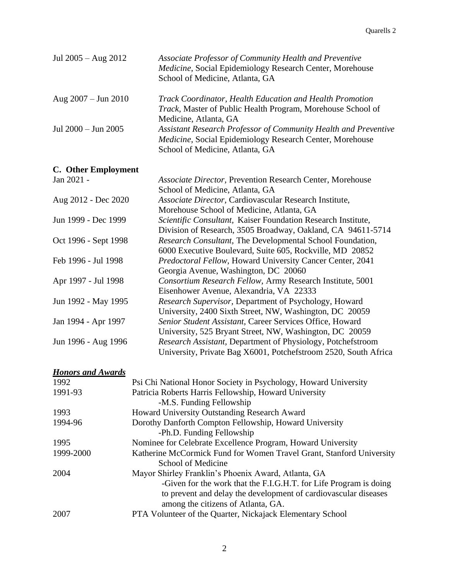| Jul $2005 - Aug 2012$         | Associate Professor of Community Health and Preventive<br>Medicine, Social Epidemiology Research Center, Morehouse<br>School of Medicine, Atlanta, GA          |
|-------------------------------|----------------------------------------------------------------------------------------------------------------------------------------------------------------|
| Aug $2007 - \text{Jun } 2010$ | Track Coordinator, Health Education and Health Promotion<br><i>Track</i> , Master of Public Health Program, Morehouse School of<br>Medicine, Atlanta, GA       |
| Jul 2000 - Jun 2005           | Assistant Research Professor of Community Health and Preventive<br>Medicine, Social Epidemiology Research Center, Morehouse<br>School of Medicine, Atlanta, GA |
| C. Other Employment           |                                                                                                                                                                |
| Jan 2021 -                    | <b>Associate Director, Prevention Research Center, Morehouse</b><br>School of Medicine, Atlanta, GA                                                            |
| Aug 2012 - Dec 2020           | Associate Director, Cardiovascular Research Institute,<br>Morehouse School of Medicine, Atlanta, GA                                                            |
| Jun 1999 - Dec 1999           | Scientific Consultant, Kaiser Foundation Research Institute,<br>Division of Research, 3505 Broadway, Oakland, CA 94611-5714                                    |
| Oct 1996 - Sept 1998          | Research Consultant, The Developmental School Foundation,<br>6000 Executive Boulevard, Suite 605, Rockville, MD 20852                                          |
| Feb 1996 - Jul 1998           | Predoctoral Fellow, Howard University Cancer Center, 2041<br>Georgia Avenue, Washington, DC 20060                                                              |
| Apr 1997 - Jul 1998           | Consortium Research Fellow, Army Research Institute, 5001<br>Eisenhower Avenue, Alexandria, VA 22333                                                           |
| Jun 1992 - May 1995           | Research Supervisor, Department of Psychology, Howard<br>University, 2400 Sixth Street, NW, Washington, DC 20059                                               |
| Jan 1994 - Apr 1997           | Senior Student Assistant, Career Services Office, Howard<br>University, 525 Bryant Street, NW, Washington, DC 20059                                            |
| Jun 1996 - Aug 1996           | Research Assistant, Department of Physiology, Potchefstroom<br>University, Private Bag X6001, Potchefstroom 2520, South Africa                                 |

# *Honors and Awards*

| 1992      | Psi Chi National Honor Society in Psychology, Howard University      |
|-----------|----------------------------------------------------------------------|
| 1991-93   | Patricia Roberts Harris Fellowship, Howard University                |
|           | -M.S. Funding Fellowship                                             |
| 1993      | Howard University Outstanding Research Award                         |
| 1994-96   | Dorothy Danforth Compton Fellowship, Howard University               |
|           | -Ph.D. Funding Fellowship                                            |
| 1995      | Nominee for Celebrate Excellence Program, Howard University          |
| 1999-2000 | Katherine McCormick Fund for Women Travel Grant, Stanford University |
|           | School of Medicine                                                   |
| 2004      | Mayor Shirley Franklin's Phoenix Award, Atlanta, GA                  |
|           | -Given for the work that the F.I.G.H.T. for Life Program is doing    |
|           | to prevent and delay the development of cardiovascular diseases      |
|           | among the citizens of Atlanta, GA.                                   |
| 2007      | PTA Volunteer of the Quarter, Nickajack Elementary School            |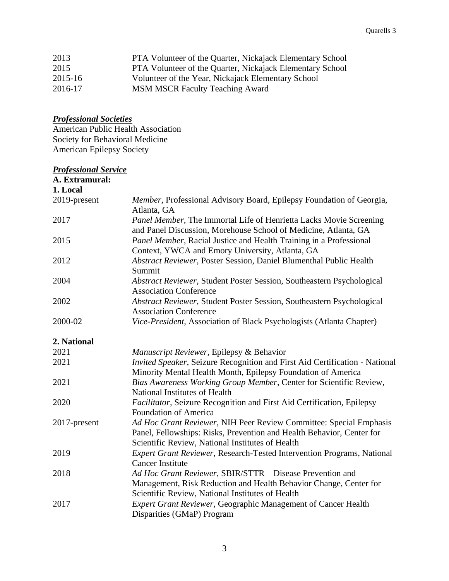| 2013    | PTA Volunteer of the Quarter, Nickajack Elementary School |
|---------|-----------------------------------------------------------|
| 2015    | PTA Volunteer of the Quarter, Nickajack Elementary School |
| 2015-16 | Volunteer of the Year, Nickajack Elementary School        |
| 2016-17 | <b>MSM MSCR Faculty Teaching Award</b>                    |

### *Professional Societies*

American Public Health Association Society for Behavioral Medicine American Epilepsy Society

#### *Professional Service*

| A. Extramural: |                                                                                                                                                                                                 |
|----------------|-------------------------------------------------------------------------------------------------------------------------------------------------------------------------------------------------|
| 1. Local       |                                                                                                                                                                                                 |
| 2019-present   | Member, Professional Advisory Board, Epilepsy Foundation of Georgia,<br>Atlanta, GA                                                                                                             |
| 2017           | Panel Member, The Immortal Life of Henrietta Lacks Movie Screening<br>and Panel Discussion, Morehouse School of Medicine, Atlanta, GA                                                           |
| 2015           | Panel Member, Racial Justice and Health Training in a Professional<br>Context, YWCA and Emory University, Atlanta, GA                                                                           |
| 2012           | Abstract Reviewer, Poster Session, Daniel Blumenthal Public Health<br>Summit                                                                                                                    |
| 2004           | Abstract Reviewer, Student Poster Session, Southeastern Psychological<br><b>Association Conference</b>                                                                                          |
| 2002           | Abstract Reviewer, Student Poster Session, Southeastern Psychological<br><b>Association Conference</b>                                                                                          |
| 2000-02        | Vice-President, Association of Black Psychologists (Atlanta Chapter)                                                                                                                            |
| 2. National    |                                                                                                                                                                                                 |
| 2021           | Manuscript Reviewer, Epilepsy & Behavior                                                                                                                                                        |
| 2021           | Invited Speaker, Seizure Recognition and First Aid Certification - National<br>Minority Mental Health Month, Epilepsy Foundation of America                                                     |
| 2021           | Bias Awareness Working Group Member, Center for Scientific Review,<br>National Institutes of Health                                                                                             |
| 2020           | Facilitator, Seizure Recognition and First Aid Certification, Epilepsy<br>Foundation of America                                                                                                 |
| 2017-present   | Ad Hoc Grant Reviewer, NIH Peer Review Committee: Special Emphasis<br>Panel, Fellowships: Risks, Prevention and Health Behavior, Center for<br>Scientific Review, National Institutes of Health |
| 2019           | <b>Expert Grant Reviewer, Research-Tested Intervention Programs, National</b><br><b>Cancer Institute</b>                                                                                        |
| 2018           | Ad Hoc Grant Reviewer, SBIR/STTR - Disease Prevention and<br>Management, Risk Reduction and Health Behavior Change, Center for<br>Scientific Review, National Institutes of Health              |
| 2017           | <b>Expert Grant Reviewer, Geographic Management of Cancer Health</b><br>Disparities (GMaP) Program                                                                                              |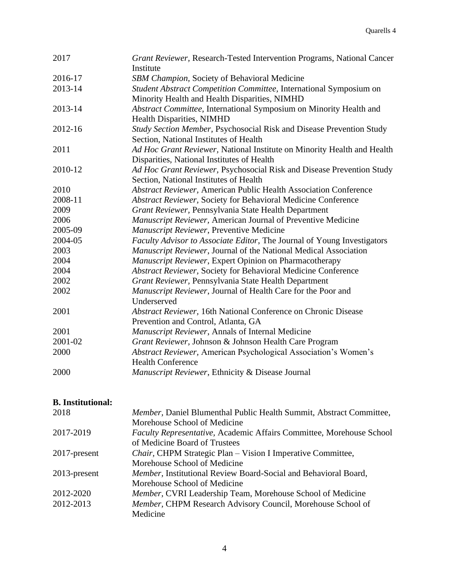| 2017    | Grant Reviewer, Research-Tested Intervention Programs, National Cancer  |
|---------|-------------------------------------------------------------------------|
|         | Institute                                                               |
| 2016-17 | SBM Champion, Society of Behavioral Medicine                            |
| 2013-14 | Student Abstract Competition Committee, International Symposium on      |
|         | Minority Health and Health Disparities, NIMHD                           |
| 2013-14 | Abstract Committee, International Symposium on Minority Health and      |
|         | Health Disparities, NIMHD                                               |
| 2012-16 | Study Section Member, Psychosocial Risk and Disease Prevention Study    |
|         | Section, National Institutes of Health                                  |
| 2011    | Ad Hoc Grant Reviewer, National Institute on Minority Health and Health |
|         | Disparities, National Institutes of Health                              |
| 2010-12 | Ad Hoc Grant Reviewer, Psychosocial Risk and Disease Prevention Study   |
|         | Section, National Institutes of Health                                  |
| 2010    | Abstract Reviewer, American Public Health Association Conference        |
| 2008-11 | Abstract Reviewer, Society for Behavioral Medicine Conference           |
| 2009    | Grant Reviewer, Pennsylvania State Health Department                    |
| 2006    | Manuscript Reviewer, American Journal of Preventive Medicine            |
| 2005-09 | Manuscript Reviewer, Preventive Medicine                                |
| 2004-05 | Faculty Advisor to Associate Editor, The Journal of Young Investigators |
| 2003    | Manuscript Reviewer, Journal of the National Medical Association        |
| 2004    | Manuscript Reviewer, Expert Opinion on Pharmacotherapy                  |
| 2004    | Abstract Reviewer, Society for Behavioral Medicine Conference           |
| 2002    | Grant Reviewer, Pennsylvania State Health Department                    |
| 2002    | Manuscript Reviewer, Journal of Health Care for the Poor and            |
|         | Underserved                                                             |
| 2001    | Abstract Reviewer, 16th National Conference on Chronic Disease          |
|         | Prevention and Control, Atlanta, GA                                     |
| 2001    | Manuscript Reviewer, Annals of Internal Medicine                        |
| 2001-02 | Grant Reviewer, Johnson & Johnson Health Care Program                   |
| 2000    | Abstract Reviewer, American Psychological Association's Women's         |
|         | <b>Health Conference</b>                                                |
| 2000    | Manuscript Reviewer, Ethnicity & Disease Journal                        |
|         |                                                                         |

# **B. Institutional:**

| 2018            | Member, Daniel Blumenthal Public Health Summit, Abstract Committee,         |
|-----------------|-----------------------------------------------------------------------------|
|                 | Morehouse School of Medicine                                                |
| 2017-2019       | <b>Faculty Representative, Academic Affairs Committee, Morehouse School</b> |
|                 | of Medicine Board of Trustees                                               |
| $2017$ -present | <i>Chair</i> , CHPM Strategic Plan – Vision I Imperative Committee,         |
|                 | Morehouse School of Medicine                                                |
| $2013$ -present | Member, Institutional Review Board-Social and Behavioral Board,             |
|                 | Morehouse School of Medicine                                                |
| 2012-2020       | <i>Member</i> , CVRI Leadership Team, Morehouse School of Medicine          |
| 2012-2013       | Member, CHPM Research Advisory Council, Morehouse School of                 |
|                 | Medicine                                                                    |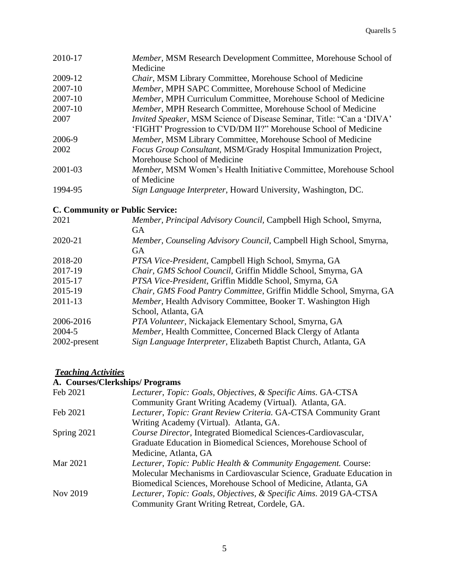| 2010-17 | Member, MSM Research Development Committee, Morehouse School of           |
|---------|---------------------------------------------------------------------------|
|         | Medicine                                                                  |
| 2009-12 | Chair, MSM Library Committee, Morehouse School of Medicine                |
| 2007-10 | Member, MPH SAPC Committee, Morehouse School of Medicine                  |
| 2007-10 | Member, MPH Curriculum Committee, Morehouse School of Medicine            |
| 2007-10 | <i>Member</i> , MPH Research Committee, Morehouse School of Medicine      |
| 2007    | Invited Speaker, MSM Science of Disease Seminar, Title: "Can a 'DIVA'     |
|         | 'FIGHT' Progression to CVD/DM II?" Morehouse School of Medicine           |
| 2006-9  | Member, MSM Library Committee, Morehouse School of Medicine               |
| 2002    | Focus Group Consultant, MSM/Grady Hospital Immunization Project,          |
|         | Morehouse School of Medicine                                              |
| 2001-03 | <i>Member</i> , MSM Women's Health Initiative Committee, Morehouse School |
|         | of Medicine                                                               |
| 1994-95 | Sign Language Interpreter, Howard University, Washington, DC.             |

# **C. Community or Public Service:**

| 2021         | Member, Principal Advisory Council, Campbell High School, Smyrna,   |
|--------------|---------------------------------------------------------------------|
|              | GA                                                                  |
| 2020-21      | Member, Counseling Advisory Council, Campbell High School, Smyrna,  |
|              | <b>GA</b>                                                           |
| 2018-20      | PTSA Vice-President, Campbell High School, Smyrna, GA               |
| 2017-19      | Chair, GMS School Council, Griffin Middle School, Smyrna, GA        |
| 2015-17      | PTSA Vice-President, Griffin Middle School, Smyrna, GA              |
| 2015-19      | Chair, GMS Food Pantry Committee, Griffin Middle School, Smyrna, GA |
| 2011-13      | Member, Health Advisory Committee, Booker T. Washington High        |
|              | School, Atlanta, GA                                                 |
| 2006-2016    | PTA Volunteer, Nickajack Elementary School, Smyrna, GA              |
| 2004-5       | Member, Health Committee, Concerned Black Clergy of Atlanta         |
| 2002-present | Sign Language Interpreter, Elizabeth Baptist Church, Atlanta, GA    |
|              |                                                                     |

### *Teaching Activities*

#### **A. Courses/Clerkships/ Programs**

| Feb 2021    | Lecturer, Topic: Goals, Objectives, & Specific Aims. GA-CTSA              |
|-------------|---------------------------------------------------------------------------|
|             | Community Grant Writing Academy (Virtual). Atlanta, GA.                   |
| Feb 2021    | Lecturer, Topic: Grant Review Criteria. GA-CTSA Community Grant           |
|             | Writing Academy (Virtual). Atlanta, GA.                                   |
| Spring 2021 | Course Director, Integrated Biomedical Sciences-Cardiovascular,           |
|             | Graduate Education in Biomedical Sciences, Morehouse School of            |
|             | Medicine, Atlanta, GA                                                     |
| Mar 2021    | <i>Lecturer, Topic: Public Health &amp; Community Engagement. Course:</i> |
|             | Molecular Mechanisms in Cardiovascular Science, Graduate Education in     |
|             | Biomedical Sciences, Morehouse School of Medicine, Atlanta, GA            |
| Nov 2019    | Lecturer, Topic: Goals, Objectives, & Specific Aims. 2019 GA-CTSA         |
|             | Community Grant Writing Retreat, Cordele, GA.                             |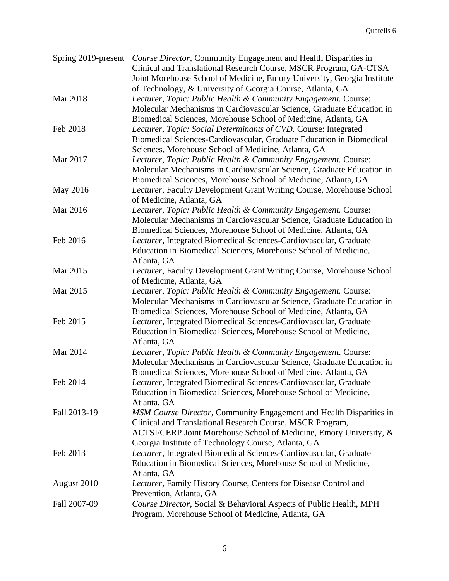| Spring 2019-present | Course Director, Community Engagement and Health Disparities in<br>Clinical and Translational Research Course, MSCR Program, GA-CTSA |
|---------------------|--------------------------------------------------------------------------------------------------------------------------------------|
|                     | Joint Morehouse School of Medicine, Emory University, Georgia Institute                                                              |
|                     | of Technology, & University of Georgia Course, Atlanta, GA                                                                           |
| Mar 2018            | Lecturer, Topic: Public Health & Community Engagement. Course:                                                                       |
|                     | Molecular Mechanisms in Cardiovascular Science, Graduate Education in                                                                |
|                     | Biomedical Sciences, Morehouse School of Medicine, Atlanta, GA                                                                       |
| Feb 2018            | Lecturer, Topic: Social Determinants of CVD. Course: Integrated                                                                      |
|                     | Biomedical Sciences-Cardiovascular, Graduate Education in Biomedical                                                                 |
|                     | Sciences, Morehouse School of Medicine, Atlanta, GA                                                                                  |
| Mar 2017            | Lecturer, Topic: Public Health & Community Engagement. Course:                                                                       |
|                     | Molecular Mechanisms in Cardiovascular Science, Graduate Education in                                                                |
|                     | Biomedical Sciences, Morehouse School of Medicine, Atlanta, GA                                                                       |
| May 2016            | Lecturer, Faculty Development Grant Writing Course, Morehouse School                                                                 |
|                     | of Medicine, Atlanta, GA                                                                                                             |
| Mar 2016            | Lecturer, Topic: Public Health & Community Engagement. Course:                                                                       |
|                     | Molecular Mechanisms in Cardiovascular Science, Graduate Education in                                                                |
|                     | Biomedical Sciences, Morehouse School of Medicine, Atlanta, GA                                                                       |
| Feb 2016            | Lecturer, Integrated Biomedical Sciences-Cardiovascular, Graduate                                                                    |
|                     | Education in Biomedical Sciences, Morehouse School of Medicine,                                                                      |
|                     | Atlanta, GA                                                                                                                          |
| Mar 2015            | Lecturer, Faculty Development Grant Writing Course, Morehouse School                                                                 |
|                     | of Medicine, Atlanta, GA                                                                                                             |
| Mar 2015            | Lecturer, Topic: Public Health & Community Engagement. Course:                                                                       |
|                     | Molecular Mechanisms in Cardiovascular Science, Graduate Education in                                                                |
|                     | Biomedical Sciences, Morehouse School of Medicine, Atlanta, GA                                                                       |
| Feb 2015            | Lecturer, Integrated Biomedical Sciences-Cardiovascular, Graduate                                                                    |
|                     | Education in Biomedical Sciences, Morehouse School of Medicine,                                                                      |
|                     | Atlanta, GA                                                                                                                          |
| Mar 2014            | Lecturer, Topic: Public Health & Community Engagement. Course:                                                                       |
|                     | Molecular Mechanisms in Cardiovascular Science, Graduate Education in                                                                |
|                     | Biomedical Sciences, Morehouse School of Medicine, Atlanta, GA                                                                       |
| Feb 2014            | Lecturer, Integrated Biomedical Sciences-Cardiovascular, Graduate                                                                    |
|                     | Education in Biomedical Sciences, Morehouse School of Medicine,                                                                      |
|                     | Atlanta, GA                                                                                                                          |
| Fall 2013-19        | MSM Course Director, Community Engagement and Health Disparities in                                                                  |
|                     | Clinical and Translational Research Course, MSCR Program,                                                                            |
|                     | ACTSI/CERP Joint Morehouse School of Medicine, Emory University, &                                                                   |
|                     | Georgia Institute of Technology Course, Atlanta, GA                                                                                  |
| Feb 2013            | Lecturer, Integrated Biomedical Sciences-Cardiovascular, Graduate                                                                    |
|                     | Education in Biomedical Sciences, Morehouse School of Medicine,                                                                      |
|                     | Atlanta, GA                                                                                                                          |
| August 2010         | Lecturer, Family History Course, Centers for Disease Control and<br>Prevention, Atlanta, GA                                          |
| Fall 2007-09        | Course Director, Social & Behavioral Aspects of Public Health, MPH                                                                   |
|                     | Program, Morehouse School of Medicine, Atlanta, GA                                                                                   |
|                     |                                                                                                                                      |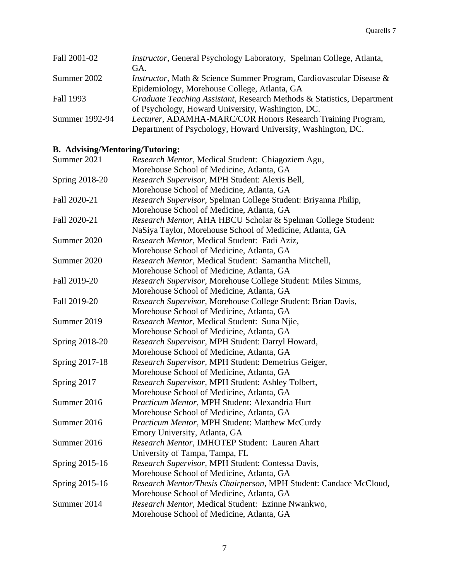| Fall 2001-02   | Instructor, General Psychology Laboratory, Spelman College, Atlanta,        |
|----------------|-----------------------------------------------------------------------------|
|                | GA.                                                                         |
| Summer 2002    | <i>Instructor</i> , Math & Science Summer Program, Cardiovascular Disease & |
|                | Epidemiology, Morehouse College, Atlanta, GA                                |
| Fall 1993      | Graduate Teaching Assistant, Research Methods & Statistics, Department      |
|                | of Psychology, Howard University, Washington, DC.                           |
| Summer 1992-94 | Lecturer, ADAMHA-MARC/COR Honors Research Training Program,                 |
|                | Department of Psychology, Howard University, Washington, DC.                |

# **B. Advising/Mentoring/Tutoring:**

| Summer 2021    | Research Mentor, Medical Student: Chiagoziem Agu,                 |
|----------------|-------------------------------------------------------------------|
|                | Morehouse School of Medicine, Atlanta, GA                         |
| Spring 2018-20 | Research Supervisor, MPH Student: Alexis Bell,                    |
|                | Morehouse School of Medicine, Atlanta, GA                         |
| Fall 2020-21   | Research Supervisor, Spelman College Student: Briyanna Philip,    |
|                | Morehouse School of Medicine, Atlanta, GA                         |
| Fall 2020-21   | Research Mentor, AHA HBCU Scholar & Spelman College Student:      |
|                | NaSiya Taylor, Morehouse School of Medicine, Atlanta, GA          |
| Summer 2020    | Research Mentor, Medical Student: Fadi Aziz,                      |
|                | Morehouse School of Medicine, Atlanta, GA                         |
| Summer 2020    | Research Mentor, Medical Student: Samantha Mitchell,              |
|                | Morehouse School of Medicine, Atlanta, GA                         |
| Fall 2019-20   | Research Supervisor, Morehouse College Student: Miles Simms,      |
|                | Morehouse School of Medicine, Atlanta, GA                         |
| Fall 2019-20   | Research Supervisor, Morehouse College Student: Brian Davis,      |
|                | Morehouse School of Medicine, Atlanta, GA                         |
| Summer 2019    | Research Mentor, Medical Student: Suna Njie,                      |
|                | Morehouse School of Medicine, Atlanta, GA                         |
| Spring 2018-20 | Research Supervisor, MPH Student: Darryl Howard,                  |
|                | Morehouse School of Medicine, Atlanta, GA                         |
| Spring 2017-18 | Research Supervisor, MPH Student: Demetrius Geiger,               |
|                | Morehouse School of Medicine, Atlanta, GA                         |
| Spring 2017    | Research Supervisor, MPH Student: Ashley Tolbert,                 |
|                | Morehouse School of Medicine, Atlanta, GA                         |
| Summer 2016    | Practicum Mentor, MPH Student: Alexandria Hurt                    |
|                | Morehouse School of Medicine, Atlanta, GA                         |
| Summer 2016    | Practicum Mentor, MPH Student: Matthew McCurdy                    |
|                | Emory University, Atlanta, GA                                     |
| Summer 2016    | Research Mentor, IMHOTEP Student: Lauren Ahart                    |
|                | University of Tampa, Tampa, FL                                    |
| Spring 2015-16 | Research Supervisor, MPH Student: Contessa Davis,                 |
|                | Morehouse School of Medicine, Atlanta, GA                         |
| Spring 2015-16 | Research Mentor/Thesis Chairperson, MPH Student: Candace McCloud, |
|                | Morehouse School of Medicine, Atlanta, GA                         |
| Summer 2014    | Research Mentor, Medical Student: Ezinne Nwankwo,                 |
|                | Morehouse School of Medicine, Atlanta, GA                         |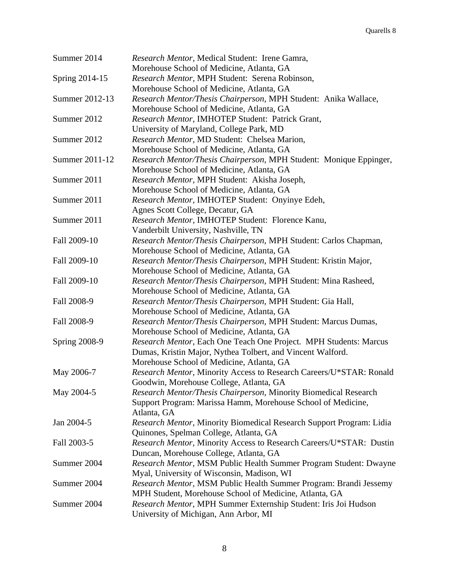| Summer 2014          | Research Mentor, Medical Student: Irene Gamra,<br>Morehouse School of Medicine, Atlanta, GA |
|----------------------|---------------------------------------------------------------------------------------------|
| Spring 2014-15       | Research Mentor, MPH Student: Serena Robinson,                                              |
|                      | Morehouse School of Medicine, Atlanta, GA                                                   |
| Summer 2012-13       | Research Mentor/Thesis Chairperson, MPH Student: Anika Wallace,                             |
|                      | Morehouse School of Medicine, Atlanta, GA                                                   |
| Summer 2012          | Research Mentor, IMHOTEP Student: Patrick Grant,                                            |
|                      | University of Maryland, College Park, MD                                                    |
| Summer 2012          | Research Mentor, MD Student: Chelsea Marion,                                                |
|                      | Morehouse School of Medicine, Atlanta, GA                                                   |
| Summer 2011-12       | Research Mentor/Thesis Chairperson, MPH Student: Monique Eppinger,                          |
|                      | Morehouse School of Medicine, Atlanta, GA                                                   |
| Summer 2011          | Research Mentor, MPH Student: Akisha Joseph,                                                |
|                      | Morehouse School of Medicine, Atlanta, GA                                                   |
| Summer 2011          | Research Mentor, IMHOTEP Student: Onyinye Edeh,                                             |
|                      | Agnes Scott College, Decatur, GA                                                            |
| Summer 2011          | Research Mentor, IMHOTEP Student: Florence Kanu,                                            |
|                      | Vanderbilt University, Nashville, TN                                                        |
| Fall 2009-10         | Research Mentor/Thesis Chairperson, MPH Student: Carlos Chapman,                            |
|                      | Morehouse School of Medicine, Atlanta, GA                                                   |
| Fall 2009-10         | Research Mentor/Thesis Chairperson, MPH Student: Kristin Major,                             |
|                      | Morehouse School of Medicine, Atlanta, GA                                                   |
| Fall 2009-10         | Research Mentor/Thesis Chairperson, MPH Student: Mina Rasheed,                              |
|                      | Morehouse School of Medicine, Atlanta, GA                                                   |
| Fall 2008-9          | Research Mentor/Thesis Chairperson, MPH Student: Gia Hall,                                  |
|                      | Morehouse School of Medicine, Atlanta, GA                                                   |
| Fall 2008-9          | Research Mentor/Thesis Chairperson, MPH Student: Marcus Dumas,                              |
|                      | Morehouse School of Medicine, Atlanta, GA                                                   |
| <b>Spring 2008-9</b> | Research Mentor, Each One Teach One Project. MPH Students: Marcus                           |
|                      | Dumas, Kristin Major, Nythea Tolbert, and Vincent Walford.                                  |
|                      | Morehouse School of Medicine, Atlanta, GA                                                   |
| May 2006-7           | Research Mentor, Minority Access to Research Careers/U*STAR: Ronald                         |
|                      | Goodwin, Morehouse College, Atlanta, GA                                                     |
| May 2004-5           | Research Mentor/Thesis Chairperson, Minority Biomedical Research                            |
|                      | Support Program: Marissa Hamm, Morehouse School of Medicine,                                |
|                      | Atlanta, GA                                                                                 |
| Jan 2004-5           | Research Mentor, Minority Biomedical Research Support Program: Lidia                        |
| Fall 2003-5          | Quinones, Spelman College, Atlanta, GA                                                      |
|                      | Research Mentor, Minority Access to Research Careers/U*STAR: Dustin                         |
|                      | Duncan, Morehouse College, Atlanta, GA                                                      |
| Summer 2004          | Research Mentor, MSM Public Health Summer Program Student: Dwayne                           |
|                      | Myal, University of Wisconsin, Madison, WI                                                  |
| Summer 2004          | Research Mentor, MSM Public Health Summer Program: Brandi Jessemy                           |
|                      | MPH Student, Morehouse School of Medicine, Atlanta, GA                                      |
| Summer 2004          | Research Mentor, MPH Summer Externship Student: Iris Joi Hudson                             |
|                      | University of Michigan, Ann Arbor, MI                                                       |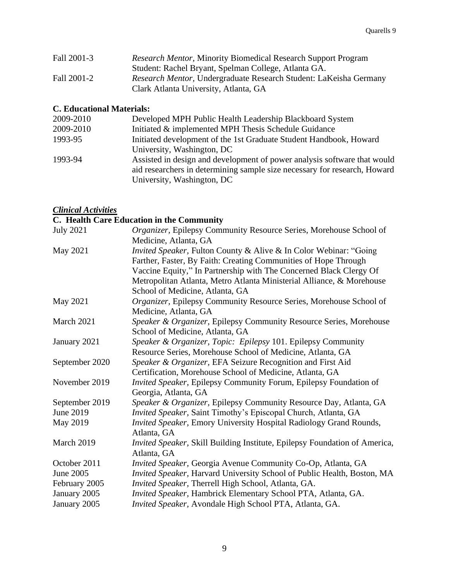| Fall 2001-3 | <i>Research Mentor, Minority Biomedical Research Support Program</i> |
|-------------|----------------------------------------------------------------------|
|             | Student: Rachel Bryant, Spelman College, Atlanta GA.                 |
| Fall 2001-2 | Research Mentor, Undergraduate Research Student: LaKeisha Germany    |
|             | Clark Atlanta University, Atlanta, GA                                |

# **C. Educational Materials:**

| 2009-2010 | Developed MPH Public Health Leadership Blackboard System                                                                                                                            |
|-----------|-------------------------------------------------------------------------------------------------------------------------------------------------------------------------------------|
| 2009-2010 | Initiated & implemented MPH Thesis Schedule Guidance                                                                                                                                |
| 1993-95   | Initiated development of the 1st Graduate Student Handbook, Howard                                                                                                                  |
|           | University, Washington, DC                                                                                                                                                          |
| 1993-94   | Assisted in design and development of power analysis software that would<br>aid researchers in determining sample size necessary for research, Howard<br>University, Washington, DC |

# *Clinical Activities*

**C. Health Care Education in the Community**

| <b>July 2021</b> | Organizer, Epilepsy Community Resource Series, Morehouse School of         |
|------------------|----------------------------------------------------------------------------|
|                  | Medicine, Atlanta, GA                                                      |
| May 2021         | Invited Speaker, Fulton County & Alive & In Color Webinar: "Going          |
|                  | Farther, Faster, By Faith: Creating Communities of Hope Through            |
|                  | Vaccine Equity," In Partnership with The Concerned Black Clergy Of         |
|                  | Metropolitan Atlanta, Metro Atlanta Ministerial Alliance, & Morehouse      |
|                  | School of Medicine, Atlanta, GA                                            |
| May 2021         | Organizer, Epilepsy Community Resource Series, Morehouse School of         |
|                  | Medicine, Atlanta, GA                                                      |
| March 2021       | Speaker & Organizer, Epilepsy Community Resource Series, Morehouse         |
|                  | School of Medicine, Atlanta, GA                                            |
| January 2021     | Speaker & Organizer, Topic: Epilepsy 101. Epilepsy Community               |
|                  | Resource Series, Morehouse School of Medicine, Atlanta, GA                 |
| September 2020   | Speaker & Organizer, EFA Seizure Recognition and First Aid                 |
|                  | Certification, Morehouse School of Medicine, Atlanta, GA                   |
| November 2019    | Invited Speaker, Epilepsy Community Forum, Epilepsy Foundation of          |
|                  | Georgia, Atlanta, GA                                                       |
| September 2019   | Speaker & Organizer, Epilepsy Community Resource Day, Atlanta, GA          |
| June 2019        | Invited Speaker, Saint Timothy's Episcopal Church, Atlanta, GA             |
| May 2019         | <b>Invited Speaker, Emory University Hospital Radiology Grand Rounds,</b>  |
|                  | Atlanta, GA                                                                |
| March 2019       | Invited Speaker, Skill Building Institute, Epilepsy Foundation of America, |
|                  | Atlanta, GA                                                                |
| October 2011     | Invited Speaker, Georgia Avenue Community Co-Op, Atlanta, GA               |
| June 2005        | Invited Speaker, Harvard University School of Public Health, Boston, MA    |
| February 2005    | Invited Speaker, Therrell High School, Atlanta, GA.                        |
| January 2005     | Invited Speaker, Hambrick Elementary School PTA, Atlanta, GA.              |
| January 2005     | Invited Speaker, Avondale High School PTA, Atlanta, GA.                    |
|                  |                                                                            |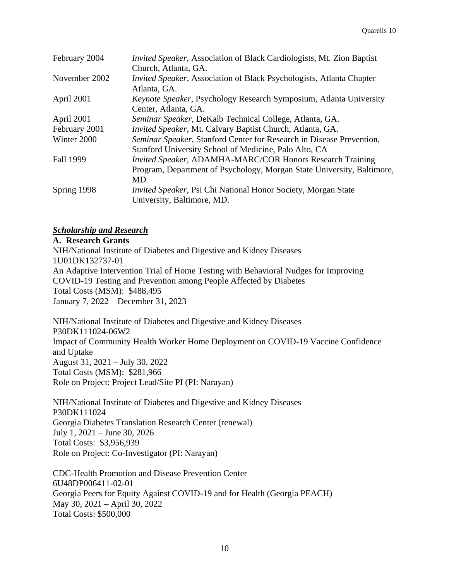| February 2004 | <i>Invited Speaker</i> , Association of Black Cardiologists, Mt. Zion Baptist<br>Church, Atlanta, GA. |
|---------------|-------------------------------------------------------------------------------------------------------|
| November 2002 | <i>Invited Speaker, Association of Black Psychologists, Atlanta Chapter</i>                           |
|               | Atlanta, GA.                                                                                          |
| April 2001    | Keynote Speaker, Psychology Research Symposium, Atlanta University                                    |
|               | Center, Atlanta, GA.                                                                                  |
| April 2001    | Seminar Speaker, DeKalb Technical College, Atlanta, GA.                                               |
| February 2001 | <i>Invited Speaker, Mt. Calvary Baptist Church, Atlanta, GA.</i>                                      |
| Winter 2000   | Seminar Speaker, Stanford Center for Research in Disease Prevention,                                  |
|               | Stanford University School of Medicine, Palo Alto, CA                                                 |
| Fall 1999     | Invited Speaker, ADAMHA-MARC/COR Honors Research Training                                             |
|               | Program, Department of Psychology, Morgan State University, Baltimore,                                |
|               | MD                                                                                                    |
| Spring 1998   | <i>Invited Speaker</i> , Psi Chi National Honor Society, Morgan State                                 |
|               | University, Baltimore, MD.                                                                            |

# *Scholarship and Research*

**A. Research Grants**

NIH/National Institute of Diabetes and Digestive and Kidney Diseases 1U01DK132737-01 An Adaptive Intervention Trial of Home Testing with Behavioral Nudges for Improving COVID-19 Testing and Prevention among People Affected by Diabetes Total Costs (MSM): \$488,495 January 7, 2022 – December 31, 2023

NIH/National Institute of Diabetes and Digestive and Kidney Diseases P30DK111024-06W2 Impact of Community Health Worker Home Deployment on COVID-19 Vaccine Confidence and Uptake August 31, 2021 – July 30, 2022 Total Costs (MSM): \$281,966 Role on Project: Project Lead/Site PI (PI: Narayan)

NIH/National Institute of Diabetes and Digestive and Kidney Diseases P30DK111024 Georgia Diabetes Translation Research Center (renewal) July 1, 2021 – June 30, 2026 Total Costs: \$3,956,939 Role on Project: Co-Investigator (PI: Narayan)

CDC-Health Promotion and Disease Prevention Center 6U48DP006411-02-01 Georgia Peers for Equity Against COVID-19 and for Health (Georgia PEACH) May 30, 2021 – April 30, 2022 Total Costs: \$500,000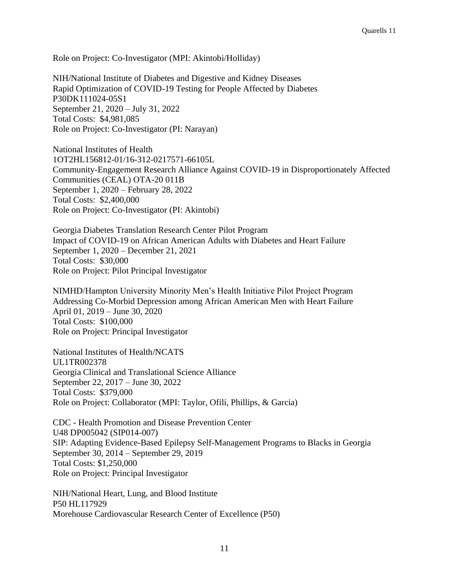Role on Project: Co-Investigator (MPI: Akintobi/Holliday)

NIH/National Institute of Diabetes and Digestive and Kidney Diseases Rapid Optimization of COVID-19 Testing for People Affected by Diabetes P30DK111024-05S1 September 21, 2020 – July 31, 2022 Total Costs: \$4,981,085 Role on Project: Co-Investigator (PI: Narayan)

National Institutes of Health 1OT2HL156812-01/16-312-0217571-66105L Community-Engagement Research Alliance Against COVID-19 in Disproportionately Affected Communities (CEAL) OTA-20 011B September 1, 2020 – February 28, 2022 Total Costs: \$2,400,000 Role on Project: Co-Investigator (PI: Akintobi)

Georgia Diabetes Translation Research Center Pilot Program Impact of COVID-19 on African American Adults with Diabetes and Heart Failure September 1, 2020 – December 21, 2021 Total Costs: \$30,000 Role on Project: Pilot Principal Investigator

NIMHD/Hampton University Minority Men's Health Initiative Pilot Project Program Addressing Co-Morbid Depression among African American Men with Heart Failure April 01, 2019 – June 30, 2020 Total Costs: \$100,000 Role on Project: Principal Investigator

National Institutes of Health/NCATS UL1TR002378 Georgia Clinical and Translational Science Alliance September 22, 2017 – June 30, 2022 Total Costs: \$379,000 Role on Project: Collaborator (MPI: Taylor, Ofili, Phillips, & Garcia)

CDC - Health Promotion and Disease Prevention Center U48 DP005042 (SIP014-007) SIP: Adapting Evidence-Based Epilepsy Self-Management Programs to Blacks in Georgia September 30, 2014 – September 29, 2019 Total Costs: \$1,250,000 Role on Project: Principal Investigator

NIH/National Heart, Lung, and Blood Institute P50 HL117929 Morehouse Cardiovascular Research Center of Excellence (P50)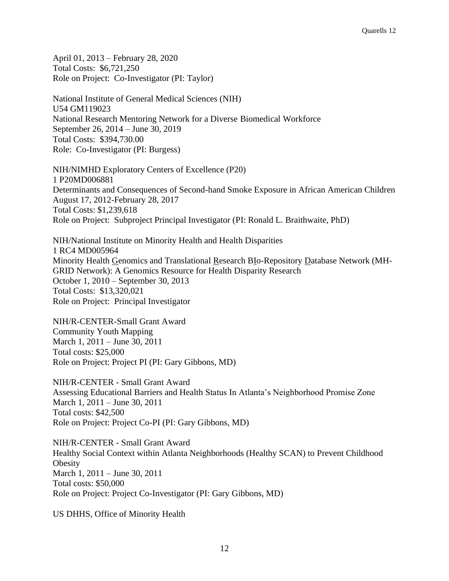April 01, 2013 – February 28, 2020 Total Costs: \$6,721,250 Role on Project: Co-Investigator (PI: Taylor)

National Institute of General Medical Sciences (NIH) U54 GM119023 National Research Mentoring Network for a Diverse Biomedical Workforce September 26, 2014 – June 30, 2019 Total Costs: \$394,730.00 Role: Co-Investigator (PI: Burgess)

NIH/NIMHD Exploratory Centers of Excellence (P20) 1 P20MD006881 Determinants and Consequences of Second-hand Smoke Exposure in African American Children August 17, 2012-February 28, 2017 Total Costs: \$1,239,618 Role on Project: Subproject Principal Investigator (PI: Ronald L. Braithwaite, PhD)

NIH/National Institute on Minority Health and Health Disparities 1 RC4 MD005964 Minority Health Genomics and Translational Research BIo-Repository Database Network (MH-GRID Network): A Genomics Resource for Health Disparity Research October 1, 2010 – September 30, 2013 Total Costs: \$13,320,021 Role on Project: Principal Investigator

NIH/R-CENTER-Small Grant Award Community Youth Mapping March 1, 2011 – June 30, 2011 Total costs: \$25,000 Role on Project: Project PI (PI: Gary Gibbons, MD)

NIH/R-CENTER - Small Grant Award Assessing Educational Barriers and Health Status In Atlanta's Neighborhood Promise Zone March 1, 2011 – June 30, 2011 Total costs: \$42,500 Role on Project: Project Co-PI (PI: Gary Gibbons, MD)

NIH/R-CENTER - Small Grant Award Healthy Social Context within Atlanta Neighborhoods (Healthy SCAN) to Prevent Childhood **Obesity** March 1, 2011 – June 30, 2011 Total costs: \$50,000 Role on Project: Project Co-Investigator (PI: Gary Gibbons, MD)

US DHHS, Office of Minority Health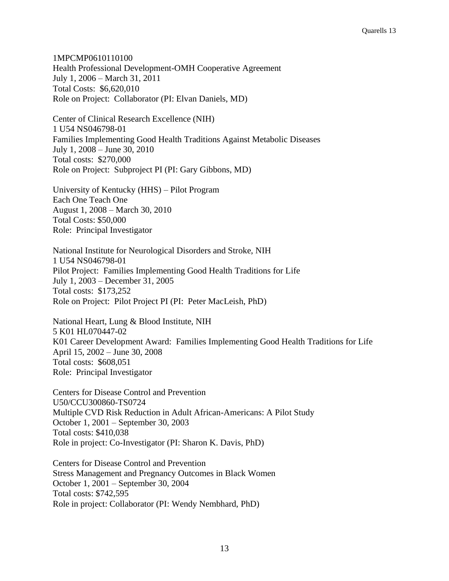1MPCMP0610110100 Health Professional Development-OMH Cooperative Agreement July 1, 2006 – March 31, 2011 Total Costs: \$6,620,010 Role on Project: Collaborator (PI: Elvan Daniels, MD)

Center of Clinical Research Excellence (NIH) 1 U54 NS046798-01 Families Implementing Good Health Traditions Against Metabolic Diseases July 1, 2008 – June 30, 2010 Total costs: \$270,000 Role on Project: Subproject PI (PI: Gary Gibbons, MD)

University of Kentucky (HHS) – Pilot Program Each One Teach One August 1, 2008 – March 30, 2010 Total Costs: \$50,000 Role: Principal Investigator

National Institute for Neurological Disorders and Stroke, NIH 1 U54 NS046798-01 Pilot Project: Families Implementing Good Health Traditions for Life July 1, 2003 – December 31, 2005 Total costs: \$173,252 Role on Project: Pilot Project PI (PI: Peter MacLeish, PhD)

National Heart, Lung & Blood Institute, NIH 5 K01 HL070447-02 K01 Career Development Award: Families Implementing Good Health Traditions for Life April 15, 2002 – June 30, 2008 Total costs: \$608,051 Role: Principal Investigator

Centers for Disease Control and Prevention U50/CCU300860-TS0724 Multiple CVD Risk Reduction in Adult African-Americans: A Pilot Study October 1, 2001 – September 30, 2003 Total costs: \$410,038 Role in project: Co-Investigator (PI: Sharon K. Davis, PhD)

Centers for Disease Control and Prevention Stress Management and Pregnancy Outcomes in Black Women October 1, 2001 – September 30, 2004 Total costs: \$742,595 Role in project: Collaborator (PI: Wendy Nembhard, PhD)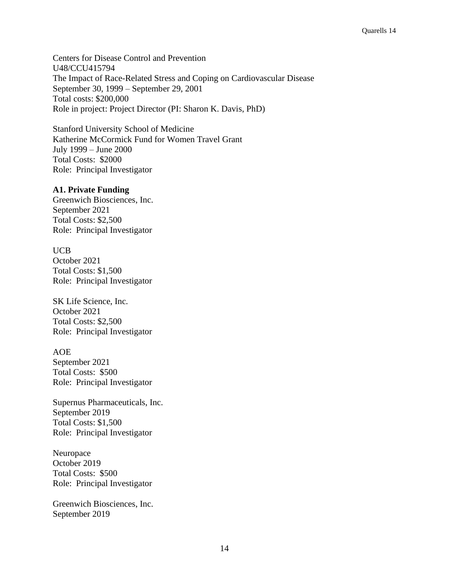Centers for Disease Control and Prevention U48/CCU415794 The Impact of Race-Related Stress and Coping on Cardiovascular Disease September 30, 1999 – September 29, 2001 Total costs: \$200,000 Role in project: Project Director (PI: Sharon K. Davis, PhD)

Stanford University School of Medicine Katherine McCormick Fund for Women Travel Grant July 1999 – June 2000 Total Costs: \$2000 Role: Principal Investigator

### **A1. Private Funding**

Greenwich Biosciences, Inc. September 2021 Total Costs: \$2,500 Role: Principal Investigator

### UCB

October 2021 Total Costs: \$1,500 Role: Principal Investigator

SK Life Science, Inc. October 2021 Total Costs: \$2,500 Role: Principal Investigator

AOE September 2021 Total Costs: \$500 Role: Principal Investigator

Supernus Pharmaceuticals, Inc. September 2019 Total Costs: \$1,500 Role: Principal Investigator

Neuropace October 2019 Total Costs: \$500 Role: Principal Investigator

Greenwich Biosciences, Inc. September 2019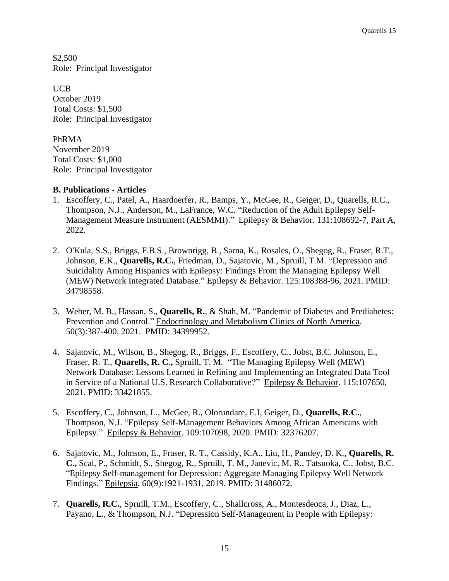\$2,500 Role: Principal Investigator

UCB October 2019 Total Costs: \$1,500 Role: Principal Investigator

PhRMA November 2019 Total Costs: \$1,000 Role: Principal Investigator

# **B. Publications - Articles**

- 1. Escoffery, C., Patel, A., Haardoerfer, R., Bamps, Y., McGee, R., Geiger, D., Quarells, R.C., Thompson, N.J., Anderson, M., LaFrance, W.C. "Reduction of the Adult Epilepsy Self-Management Measure Instrument (AESMMI)." Epilepsy & Behavior. 131:108692-7, Part A, 2022.
- 2. O'Kula, S.S., Briggs, F.B.S., Brownrigg, B., Sarna, K., Rosales, O., Shegog, R., Fraser, R.T., Johnson, E.K., **Quarells, R.C.**, Friedman, D., Sajatovic, M., Spruill, T.M. "Depression and Suicidality Among Hispanics with Epilepsy: Findings From the Managing Epilepsy Well (MEW) Network Integrated Database." Epilepsy & Behavior. 125:108388-96, 2021. PMID: 34798558.
- 3. Weber, M. B., Hassan, S., **Quarells, R.**, & Shah, M. "Pandemic of Diabetes and Prediabetes: Prevention and Control." Endocrinology and Metabolism Clinics of North America. 50(3):387-400, 2021. PMID: 34399952.
- 4. Sajatovic, M., Wilson, B., Shegog, R., Briggs, F., Escoffery, C., Jobst, B.C. Johnson, E., Fraser, R. T., **Quarells, R. C.,** Spruill, T. M. "The Managing Epilepsy Well (MEW) Network Database: Lessons Learned in Refining and Implementing an Integrated Data Tool in Service of a National U.S. Research Collaborative?" Epilepsy & Behavior. 115:107650, 2021. PMID: 33421855.
- 5. Escoffery, C., Johnson, L., McGee, R., Olorundare, E.I, Geiger, D., **Quarells, R.C.**, Thompson, N.J. "Epilepsy Self-Management Behaviors Among African Americans with Epilepsy." Epilepsy & Behavior. 109:107098, 2020. PMID: 32376207.
- 6. Sajatovic, M., Johnson, E., Fraser, R. T., Cassidy, K.A., Liu, H., Pandey, D. K., **Quarells, R. C.,** Scal, P., Schmidt, S., Shegog, R., Spruill, T. M., Janevic, M. R., Tatsuoka, C., Jobst, B.C. "Epilepsy Self-management for Depression: Aggregate Managing Epilepsy Well Network Findings." Epilepsia. 60(9):1921-1931, 2019. PMID: 31486072.
- 7. **Quarells, R.C.**, Spruill, T.M., Escoffery, C., Shallcross, A., Montesdeoca, J., Diaz, L., Payano, L., & Thompson, N.J. "Depression Self-Management in People with Epilepsy: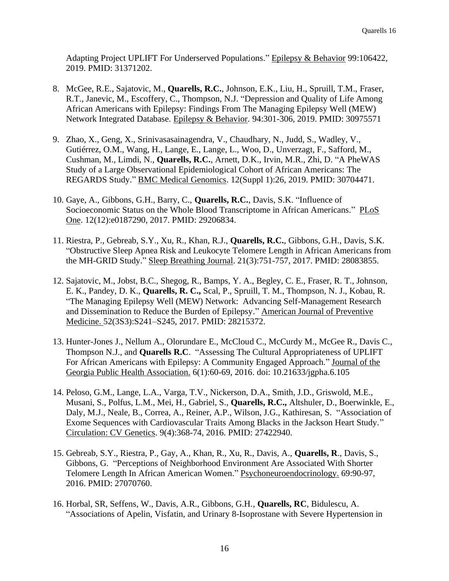Adapting Project UPLIFT For Underserved Populations." Epilepsy & Behavior 99:106422, 2019. PMID: 31371202.

- 8. McGee, R.E., Sajatovic, M., **Quarells, R.C.**, Johnson, E.K., Liu, H., Spruill, T.M., Fraser, R.T., Janevic, M., Escoffery, C., Thompson, N.J. "Depression and Quality of Life Among African Americans with Epilepsy: Findings From The Managing Epilepsy Well (MEW) Network Integrated Database. Epilepsy & Behavior. 94:301-306, 2019. PMID: 30975571
- 9. Zhao, X., Geng, X., Srinivasasainagendra, V., Chaudhary, N., Judd, S., Wadley, V., Gutiérrez, O.M., Wang, H., Lange, E., Lange, L., Woo, D., Unverzagt, F., Safford, M., Cushman, M., Limdi, N., **Quarells, R.C.**, Arnett, D.K., Irvin, M.R., Zhi, D. "A PheWAS Study of a Large Observational Epidemiological Cohort of African Americans: The REGARDS Study." BMC Medical Genomics. 12(Suppl 1):26, 2019. PMID: 30704471.
- 10. Gaye, A., Gibbons, G.H., Barry, C., **Quarells, R.C.**, Davis, S.K. "Influence of Socioeconomic Status on the Whole Blood Transcriptome in African Americans." PLoS One. 12(12):e0187290, 2017. PMID: 29206834.
- 11. Riestra, P., Gebreab, S.Y., Xu, R., Khan, R.J., **Quarells, R.C.**, Gibbons, G.H., Davis, S.K. "Obstructive Sleep Apnea Risk and Leukocyte Telomere Length in African Americans from the MH-GRID Study." Sleep Breathing Journal. 21(3):751-757, 2017. PMID: 28083855.
- 12. Sajatovic, M., Jobst, B.C., Shegog, R., Bamps, Y. A., Begley, C. E., Fraser, R. T., Johnson, E. K., Pandey, D. K., **Quarells, R. C.,** Scal, P., Spruill, T. M., Thompson, N. J., Kobau, R. "The Managing Epilepsy Well (MEW) Network: Advancing Self-Management Research and Dissemination to Reduce the Burden of Epilepsy." American Journal of Preventive Medicine. 52(3S3):S241–S245, 2017. PMID: 28215372.
- 13. Hunter-Jones J., Nellum A., Olorundare E., McCloud C., McCurdy M., McGee R., Davis C., Thompson N.J., and **Quarells R.C**. "Assessing The Cultural Appropriateness of UPLIFT For African Americans with Epilepsy: A Community Engaged Approach." Journal of the Georgia Public Health Association. 6(1):60-69, 2016. doi: 10.21633/jgpha.6.105
- 14. Peloso, G.M., Lange, L.A., Varga, T.V., Nickerson, D.A., Smith, J.D., Griswold, M.E., Musani, S., Polfus, L.M., Mei, H., Gabriel, S., **Quarells, R.C.,** Altshuler, D., Boerwinkle, E., Daly, M.J., Neale, B., Correa, A., Reiner, A.P., Wilson, J.G., Kathiresan, S. "Association of Exome Sequences with Cardiovascular Traits Among Blacks in the Jackson Heart Study." Circulation: CV Genetics. 9(4):368-74, 2016. PMID: 27422940.
- 15. Gebreab, S.Y., Riestra, P., Gay, A., Khan, R., Xu, R., Davis, A., **Quarells, R**., Davis, S., Gibbons, G. "Perceptions of Neighborhood Environment Are Associated With Shorter Telomere Length In African American Women." Psychoneuroendocrinology. 69:90-97, 2016. PMID: 27070760.
- 16. Horbal, SR, Seffens, W., Davis, A.R., Gibbons, G.H., **Quarells, RC**, Bidulescu, A. "Associations of Apelin, Visfatin, and Urinary 8-Isoprostane with Severe Hypertension in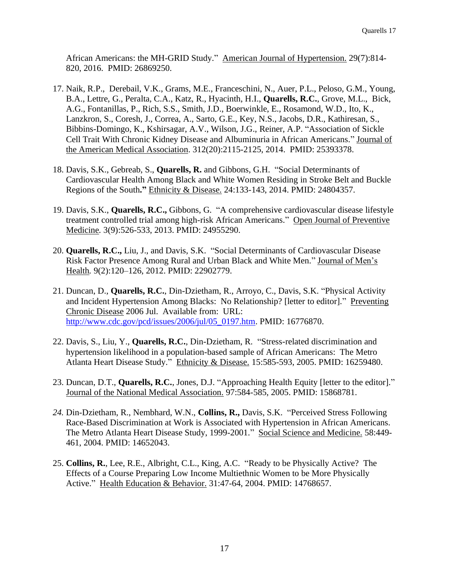African Americans: the MH-GRID Study." American Journal of Hypertension. 29(7):814- 820, 2016. PMID: 26869250.

- 17. Naik, R.P., Derebail, V.K., Grams, M.E., Franceschini, N., Auer, P.L., Peloso, G.M., Young, B.A., Lettre, G., Peralta, C.A., Katz, R., Hyacinth, H.I., **Quarells, R.C.**, Grove, M.L., Bick, A.G., Fontanillas, P., Rich, S.S., Smith, J.D., Boerwinkle, E., Rosamond, W.D., Ito, K., Lanzkron, S., Coresh, J., Correa, A., Sarto, G.E., Key, N.S., Jacobs, D.R., Kathiresan, S., Bibbins-Domingo, K., Kshirsagar, A.V., Wilson, J.G., Reiner, A.P. "Association of Sickle Cell Trait With Chronic Kidney Disease and Albuminuria in African Americans." Journal of the American Medical Association. 312(20):2115-2125, 2014. PMID: 25393378.
- 18. Davis, S.K., Gebreab, S., **Quarells, R.** and Gibbons, G.H. "Social Determinants of Cardiovascular Health Among Black and White Women Residing in Stroke Belt and Buckle Regions of the South**."** Ethnicity & Disease. 24:133-143, 2014. PMID: 24804357.
- 19. Davis, S.K., **Quarells, R.C.,** Gibbons, G. "A comprehensive cardiovascular disease lifestyle treatment controlled trial among high-risk African Americans." Open Journal of Preventive Medicine*.* 3(9):526-533, 2013. PMID: 24955290.
- 20. **Quarells, R.C.,** Liu, J., and Davis, S.K. "Social Determinants of Cardiovascular Disease Risk Factor Presence Among Rural and Urban Black and White Men." Journal of Men's Health*.* 9(2):120–126, 2012. PMID: 22902779.
- 21. Duncan, D., **Quarells, R.C.**, Din-Dzietham, R., Arroyo, C., Davis, S.K. "Physical Activity and Incident Hypertension Among Blacks: No Relationship? [letter to editor]." Preventing Chronic Disease 2006 Jul. Available from: URL: [http://www.cdc.gov/pcd/issues/2006/jul/05\\_0197.htm.](http://www.cdc.gov/pcd/issues/2006/jul/05_0197.htm) PMID: 16776870.
- 22. Davis, S., Liu, Y., **Quarells, R.C.**, Din-Dzietham, R. "Stress-related discrimination and hypertension likelihood in a population-based sample of African Americans: The Metro Atlanta Heart Disease Study." Ethnicity & Disease. 15:585-593, 2005. PMID: 16259480.
- 23. Duncan, D.T., **Quarells, R.C.**, Jones, D.J. "Approaching Health Equity [letter to the editor]." Journal of the National Medical Association. 97:584-585, 2005. PMID: 15868781.
- *24.* Din-Dzietham, R., Nembhard, W.N., **Collins, R.,** Davis, S.K. "Perceived Stress Following Race-Based Discrimination at Work is Associated with Hypertension in African Americans. The Metro Atlanta Heart Disease Study, 1999-2001." Social Science and Medicine. 58:449-461, 2004. PMID: 14652043.
- 25. **Collins, R.**, Lee, R.E., Albright, C.L., King, A.C. "Ready to be Physically Active? The Effects of a Course Preparing Low Income Multiethnic Women to be More Physically Active." Health Education & Behavior. 31:47-64, 2004. PMID: 14768657.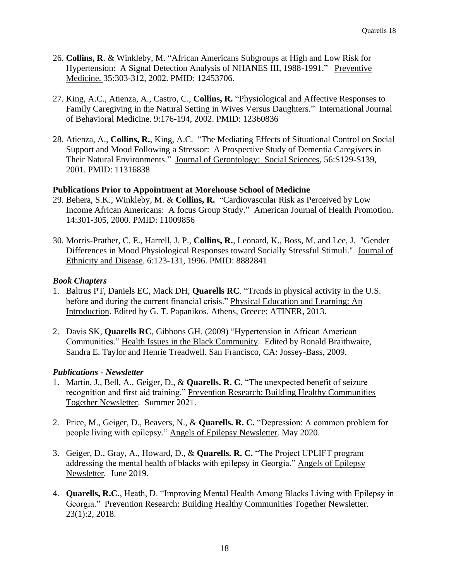- 26. **Collins, R**. & Winkleby, M. "African Americans Subgroups at High and Low Risk for Hypertension: A Signal Detection Analysis of NHANES III, 1988-1991." Preventive Medicine. 35:303-312, 2002. PMID: 12453706.
- 27. King, A.C., Atienza, A., Castro, C., **Collins, R.** "Physiological and Affective Responses to Family Caregiving in the Natural Setting in Wives Versus Daughters." International Journal of Behavioral Medicine. 9:176-194, 2002. PMID: 12360836
- 28. Atienza, A., **Collins, R.**, King, A.C. "The Mediating Effects of Situational Control on Social Support and Mood Following a Stressor: A Prospective Study of Dementia Caregivers in Their Natural Environments." Journal of Gerontology: Social Sciences, 56:S129-S139, 2001. PMID: 11316838

# **Publications Prior to Appointment at Morehouse School of Medicine**

- 29. Behera, S.K., Winkleby, M. & **Collins, R.** "Cardiovascular Risk as Perceived by Low Income African Americans: A focus Group Study." American Journal of Health Promotion. 14:301-305, 2000. PMID: 11009856
- 30. Morris-Prather, C. E., Harrell, J. P., **Collins, R.**, Leonard, K., Boss, M. and Lee, J. "Gender Differences in Mood Physiological Responses toward Socially Stressful Stimuli." Journal of Ethnicity and Disease. 6:123-131, 1996. PMID: 8882841

# *Book Chapters*

- 1. Baltrus PT, Daniels EC, Mack DH, **Quarells RC**. "Trends in physical activity in the U.S. before and during the current financial crisis." Physical Education and Learning: An Introduction. Edited by G. T. Papanikos. Athens, Greece: ATINER, 2013.
- 2. Davis SK, **Quarells RC**, Gibbons GH. (2009) "Hypertension in African American Communities." Health Issues in the Black Community. Edited by Ronald Braithwaite, Sandra E. Taylor and Henrie Treadwell. San Francisco, CA: Jossey-Bass, 2009.

# *Publications - Newsletter*

- 1. Martin, J., Bell, A., Geiger, D., & **Quarells. R. C.** "The unexpected benefit of seizure recognition and first aid training." Prevention Research: Building Healthy Communities Together Newsletter. Summer 2021.
- 2. Price, M., Geiger, D., Beavers, N., & **Quarells. R. C.** "Depression: A common problem for people living with epilepsy." Angels of Epilepsy Newsletter*.* May 2020.
- 3. Geiger, D., Gray, A., Howard, D., & **Quarells. R. C.** "The Project UPLIFT program addressing the mental health of blacks with epilepsy in Georgia." Angels of Epilepsy Newsletter*.* June 2019.
- 4. **Quarells, R.C.**, Heath, D. "Improving Mental Health Among Blacks Living with Epilepsy in Georgia." Prevention Research: Building Healthy Communities Together Newsletter. 23(1):2, 2018.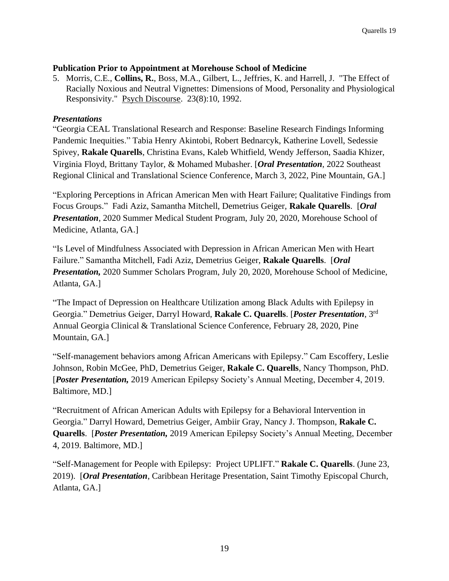# **Publication Prior to Appointment at Morehouse School of Medicine**

5. Morris, C.E., **Collins, R.**, Boss, M.A., Gilbert, L., Jeffries, K. and Harrell, J. "The Effect of Racially Noxious and Neutral Vignettes: Dimensions of Mood, Personality and Physiological Responsivity." Psych Discourse. 23(8):10, 1992.

# *Presentations*

"Georgia CEAL Translational Research and Response: Baseline Research Findings Informing Pandemic Inequities." Tabia Henry Akintobi, Robert Bednarcyk, Katherine Lovell, Sedessie Spivey, **Rakale Quarells**, Christina Evans, Kaleb Whitfield, Wendy Jefferson, Saadia Khizer, Virginia Floyd, Brittany Taylor, & Mohamed Mubasher. [*Oral Presentation*, 2022 Southeast Regional Clinical and Translational Science Conference, March 3, 2022, Pine Mountain, GA.]

"Exploring Perceptions in African American Men with Heart Failure; Qualitative Findings from Focus Groups." Fadi Aziz, Samantha Mitchell, Demetrius Geiger, **Rakale Quarells**. [*Oral Presentation*, 2020 Summer Medical Student Program, July 20, 2020, Morehouse School of Medicine, Atlanta, GA.]

"Is Level of Mindfulness Associated with Depression in African American Men with Heart Failure." Samantha Mitchell, Fadi Aziz, Demetrius Geiger, **Rakale Quarells**. [*Oral Presentation,* 2020 Summer Scholars Program, July 20, 2020, Morehouse School of Medicine, Atlanta, GA.]

"The Impact of Depression on Healthcare Utilization among Black Adults with Epilepsy in Georgia." Demetrius Geiger, Darryl Howard, **Rakale C. Quarells**. [*Poster Presentation*, 3 rd Annual Georgia Clinical & Translational Science Conference, February 28, 2020, Pine Mountain, GA.]

"Self-management behaviors among African Americans with Epilepsy." Cam Escoffery, Leslie Johnson, Robin McGee, PhD, Demetrius Geiger, **Rakale C. Quarells**, Nancy Thompson, PhD. [*Poster Presentation,* 2019 American Epilepsy Society's Annual Meeting, December 4, 2019. Baltimore, MD.]

"Recruitment of African American Adults with Epilepsy for a Behavioral Intervention in Georgia." Darryl Howard, Demetrius Geiger, Ambiir Gray, Nancy J. Thompson, **Rakale C. Quarells**. [*Poster Presentation,* 2019 American Epilepsy Society's Annual Meeting, December 4, 2019. Baltimore, MD.]

"Self-Management for People with Epilepsy: Project UPLIFT." **Rakale C. Quarells**. (June 23, 2019). [*Oral Presentation*, Caribbean Heritage Presentation, Saint Timothy Episcopal Church, Atlanta, GA.]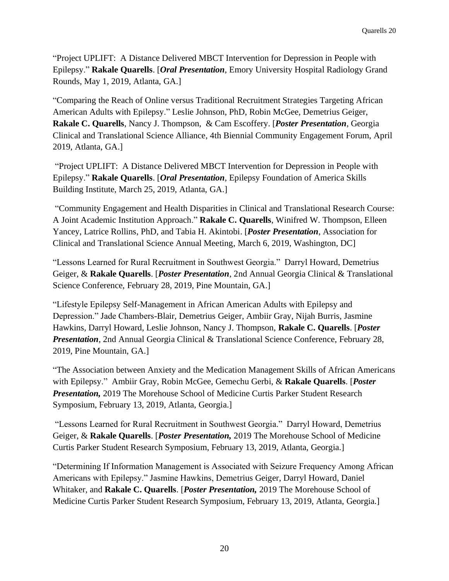"Project UPLIFT: A Distance Delivered MBCT Intervention for Depression in People with Epilepsy." **Rakale Quarells**. [*Oral Presentation*, Emory University Hospital Radiology Grand Rounds, May 1, 2019, Atlanta, GA.]

"Comparing the Reach of Online versus Traditional Recruitment Strategies Targeting African American Adults with Epilepsy." Leslie Johnson, PhD, Robin McGee, Demetrius Geiger, **Rakale C. Quarells**, Nancy J. Thompson, & Cam Escoffery. [*Poster Presentation*, Georgia Clinical and Translational Science Alliance, 4th Biennial Community Engagement Forum, April 2019, Atlanta, GA.]

"Project UPLIFT: A Distance Delivered MBCT Intervention for Depression in People with Epilepsy." **Rakale Quarells**. [*Oral Presentation*, Epilepsy Foundation of America Skills Building Institute, March 25, 2019, Atlanta, GA.]

"Community Engagement and Health Disparities in Clinical and Translational Research Course: A Joint Academic Institution Approach." **Rakale C. Quarells**, Winifred W. Thompson, Elleen Yancey, Latrice Rollins, PhD, and Tabia H. Akintobi. [*Poster Presentation*, Association for Clinical and Translational Science Annual Meeting, March 6, 2019, Washington, DC]

"Lessons Learned for Rural Recruitment in Southwest Georgia." Darryl Howard, Demetrius Geiger, & **Rakale Quarells**. [*Poster Presentation*, 2nd Annual Georgia Clinical & Translational Science Conference, February 28, 2019, Pine Mountain, GA.]

"Lifestyle Epilepsy Self-Management in African American Adults with Epilepsy and Depression." Jade Chambers-Blair, Demetrius Geiger, Ambiir Gray, Nijah Burris, Jasmine Hawkins, Darryl Howard, Leslie Johnson, Nancy J. Thompson, **Rakale C. Quarells**. [*Poster* **Presentation**, 2nd Annual Georgia Clinical & Translational Science Conference, February 28, 2019, Pine Mountain, GA.]

"The Association between Anxiety and the Medication Management Skills of African Americans with Epilepsy." Ambiir Gray, Robin McGee, Gemechu Gerbi, & **Rakale Quarells**. [*Poster Presentation,* 2019 The Morehouse School of Medicine Curtis Parker Student Research Symposium, February 13, 2019, Atlanta, Georgia.]

"Lessons Learned for Rural Recruitment in Southwest Georgia." Darryl Howard, Demetrius Geiger, & **Rakale Quarells**. [*Poster Presentation,* 2019 The Morehouse School of Medicine Curtis Parker Student Research Symposium, February 13, 2019, Atlanta, Georgia.]

"Determining If Information Management is Associated with Seizure Frequency Among African Americans with Epilepsy." Jasmine Hawkins, Demetrius Geiger, Darryl Howard, Daniel Whitaker, and **Rakale C. Quarells**. [*Poster Presentation,* 2019 The Morehouse School of Medicine Curtis Parker Student Research Symposium, February 13, 2019, Atlanta, Georgia.]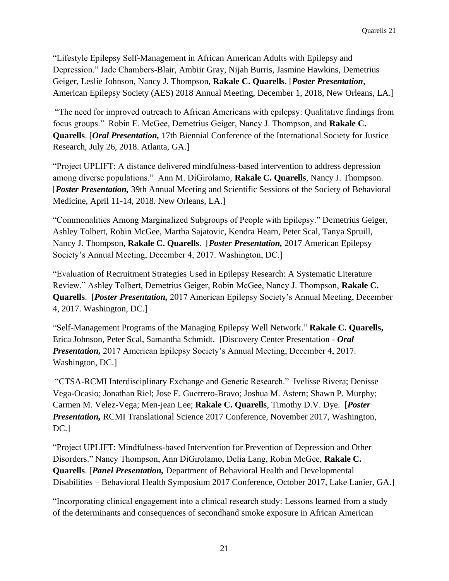"Lifestyle Epilepsy Self-Management in African American Adults with Epilepsy and Depression." Jade Chambers-Blair, Ambiir Gray, Nijah Burris, Jasmine Hawkins, Demetrius Geiger, Leslie Johnson, Nancy J. Thompson, **Rakale C. Quarells**. [*Poster Presentation*, American Epilepsy Society (AES) 2018 Annual Meeting, December 1, 2018, New Orleans, LA.]

"The need for improved outreach to African Americans with epilepsy: Qualitative findings from focus groups." Robin E. McGee, Demetrius Geiger, Nancy J. Thompson, and **Rakale C. Quarells**. [*Oral Presentation,* 17th Biennial Conference of the International Society for Justice Research, July 26, 2018. Atlanta, GA.]

"Project UPLIFT: A distance delivered mindfulness-based intervention to address depression among diverse populations." Ann M. DiGirolamo, **Rakale C. Quarells**, Nancy J. Thompson. [*Poster Presentation,* 39th Annual Meeting and Scientific Sessions of the Society of Behavioral Medicine, April 11-14, 2018. New Orleans, LA.]

"Commonalities Among Marginalized Subgroups of People with Epilepsy." Demetrius Geiger, Ashley Tolbert, Robin McGee, Martha Sajatovic, Kendra Hearn, Peter Scal, Tanya Spruill, Nancy J. Thompson, **Rakale C. Quarells**. [*Poster Presentation,* 2017 American Epilepsy Society's Annual Meeting, December 4, 2017. Washington, DC.]

"Evaluation of Recruitment Strategies Used in Epilepsy Research: A Systematic Literature Review." Ashley Tolbert, Demetrius Geiger, Robin McGee, Nancy J. Thompson, **Rakale C. Quarells**. [*Poster Presentation,* 2017 American Epilepsy Society's Annual Meeting, December 4, 2017. Washington, DC.]

"Self-Management Programs of the Managing Epilepsy Well Network." **Rakale C. Quarells,** Erica Johnson, Peter Scal, Samantha Schmidt. [Discovery Center Presentation - *Oral Presentation,* 2017 American Epilepsy Society's Annual Meeting, December 4, 2017. Washington, DC.]

"CTSA-RCMI Interdisciplinary Exchange and Genetic Research." Ivelisse Rivera; Denisse Vega-Ocasio; Jonathan Riel; Jose E. Guerrero-Bravo; Joshua M. Astern; Shawn P. Murphy; Carmen M. Velez-Vega; Men-jean Lee; **Rakale C. Quarells**, Timothy D.V. Dye. [*Poster Presentation,* RCMI Translational Science 2017 Conference, November 2017, Washington, DC.]

"Project UPLIFT: Mindfulness-based Intervention for Prevention of Depression and Other Disorders." Nancy Thompson, Ann DiGirolamo, Delia Lang, Robin McGee, **Rakale C. Quarells**. [*Panel Presentation,* Department of Behavioral Health and Developmental Disabilities – Behavioral Health Symposium 2017 Conference, October 2017, Lake Lanier, GA.]

"Incorporating clinical engagement into a clinical research study: Lessons learned from a study of the determinants and consequences of secondhand smoke exposure in African American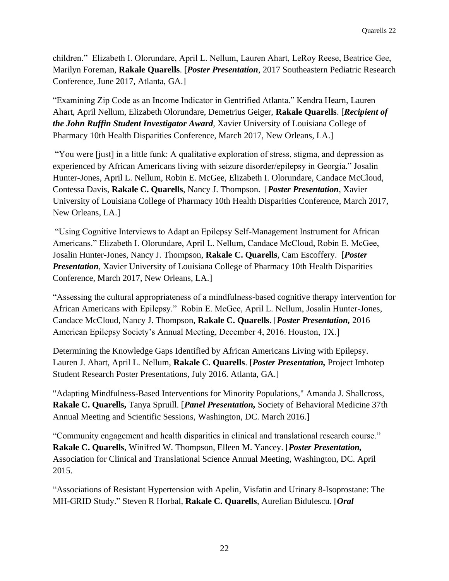children." Elizabeth I. Olorundare, April L. Nellum, Lauren Ahart, LeRoy Reese, Beatrice Gee, Marilyn Foreman, **Rakale Quarells**. [*Poster Presentation*, 2017 Southeastern Pediatric Research Conference, June 2017, Atlanta, GA.]

"Examining Zip Code as an Income Indicator in Gentrified Atlanta." Kendra Hearn, Lauren Ahart, April Nellum, Elizabeth Olorundare, Demetrius Geiger, **Rakale Quarells**. [*Recipient of the John Ruffin Student Investigator Award*, Xavier University of Louisiana College of Pharmacy 10th Health Disparities Conference, March 2017, New Orleans, LA.]

"You were [just] in a little funk: A qualitative exploration of stress, stigma, and depression as experienced by African Americans living with seizure disorder/epilepsy in Georgia." Josalin Hunter-Jones, April L. Nellum, Robin E. McGee, Elizabeth I. Olorundare, Candace McCloud, Contessa Davis, **Rakale C. Quarells**, Nancy J. Thompson. [*Poster Presentation*, Xavier University of Louisiana College of Pharmacy 10th Health Disparities Conference, March 2017, New Orleans, LA.]

"Using Cognitive Interviews to Adapt an Epilepsy Self-Management Instrument for African Americans." Elizabeth I. Olorundare, April L. Nellum, Candace McCloud, Robin E. McGee, Josalin Hunter-Jones, Nancy J. Thompson, **Rakale C. Quarells**, Cam Escoffery. [*Poster Presentation*, Xavier University of Louisiana College of Pharmacy 10th Health Disparities Conference, March 2017, New Orleans, LA.]

"Assessing the cultural appropriateness of a mindfulness-based cognitive therapy intervention for African Americans with Epilepsy." Robin E. McGee, April L. Nellum, Josalin Hunter-Jones, Candace McCloud, Nancy J. Thompson, **Rakale C. Quarells**. [*Poster Presentation,* 2016 American Epilepsy Society's Annual Meeting, December 4, 2016. Houston, TX.]

Determining the Knowledge Gaps Identified by African Americans Living with Epilepsy. Lauren J. Ahart, April L. Nellum, **Rakale C. Quarells**. [*Poster Presentation,* Project Imhotep Student Research Poster Presentations, July 2016. Atlanta, GA.]

"Adapting Mindfulness-Based Interventions for Minority Populations," Amanda J. Shallcross, **Rakale C. Quarells,** Tanya Spruill. [*Panel Presentation,* Society of Behavioral Medicine 37th Annual Meeting and Scientific Sessions, Washington, DC. March 2016.]

"Community engagement and health disparities in clinical and translational research course." **Rakale C. Quarells**, Winifred W. Thompson, Elleen M. Yancey. [*Poster Presentation,*  Association for Clinical and Translational Science Annual Meeting, Washington, DC. April 2015.

"Associations of Resistant Hypertension with Apelin, Visfatin and Urinary 8-Isoprostane: The MH-GRID Study." Steven R Horbal, **Rakale C. Quarells**, Aurelian Bidulescu. [*Oral*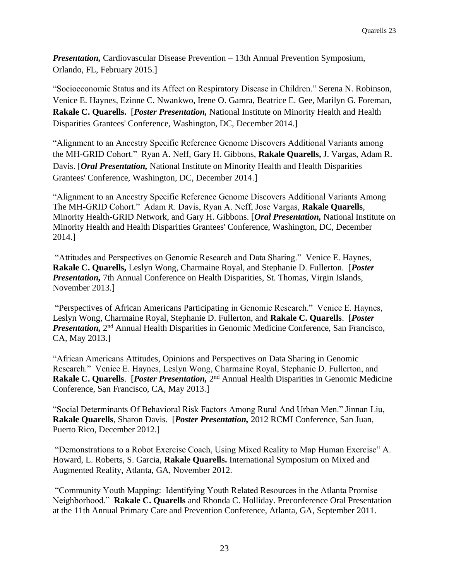*Presentation,* Cardiovascular Disease Prevention – 13th Annual Prevention Symposium, Orlando, FL, February 2015.]

"Socioeconomic Status and its Affect on Respiratory Disease in Children." Serena N. Robinson, Venice E. Haynes, Ezinne C. Nwankwo, Irene O. Gamra, Beatrice E. Gee, Marilyn G. Foreman, **Rakale C. Quarells.** [*Poster Presentation,* National Institute on Minority Health and Health Disparities Grantees' Conference, Washington, DC, December 2014.]

"Alignment to an Ancestry Specific Reference Genome Discovers Additional Variants among the MH-GRID Cohort." Ryan A. Neff, Gary H. Gibbons, **Rakale Quarells,** J. Vargas, Adam R. Davis. [*Oral Presentation,* National Institute on Minority Health and Health Disparities Grantees' Conference, Washington, DC, December 2014.]

"Alignment to an Ancestry Specific Reference Genome Discovers Additional Variants Among The MH-GRID Cohort." Adam R. Davis, Ryan A. Neff, Jose Vargas, **Rakale Quarells**, Minority Health-GRID Network, and Gary H. Gibbons. [*Oral Presentation,* National Institute on Minority Health and Health Disparities Grantees' Conference, Washington, DC, December 2014.]

"Attitudes and Perspectives on Genomic Research and Data Sharing." Venice E. Haynes, **Rakale C. Quarells,** Leslyn Wong, Charmaine Royal, and Stephanie D. Fullerton. [*Poster Presentation,* 7th Annual Conference on Health Disparities, St. Thomas, Virgin Islands, November 2013.]

"Perspectives of African Americans Participating in Genomic Research." Venice E. Haynes, Leslyn Wong, Charmaine Royal, Stephanie D. Fullerton, and **Rakale C. Quarells**. [*Poster*  **Presentation,** 2<sup>nd</sup> Annual Health Disparities in Genomic Medicine Conference, San Francisco, CA, May 2013.]

"African Americans Attitudes, Opinions and Perspectives on Data Sharing in Genomic Research." Venice E. Haynes, Leslyn Wong, Charmaine Royal, Stephanie D. Fullerton, and Rakale C. Quarells. [*Poster Presentation*, 2<sup>nd</sup> Annual Health Disparities in Genomic Medicine Conference, San Francisco, CA, May 2013.]

"Social Determinants Of Behavioral Risk Factors Among Rural And Urban Men." Jinnan Liu, **Rakale Quarells**, Sharon Davis. [*Poster Presentation,* 2012 RCMI Conference, San Juan, Puerto Rico, December 2012.]

"Demonstrations to a Robot Exercise Coach, Using Mixed Reality to Map Human Exercise" A. Howard, L. Roberts, S. Garcia, **Rakale Quarells.** International Symposium on Mixed and Augmented Reality, Atlanta, GA, November 2012.

"Community Youth Mapping: Identifying Youth Related Resources in the Atlanta Promise Neighborhood." **Rakale C. Quarells** and Rhonda C. Holliday. Preconference Oral Presentation at the 11th Annual Primary Care and Prevention Conference, Atlanta, GA, September 2011.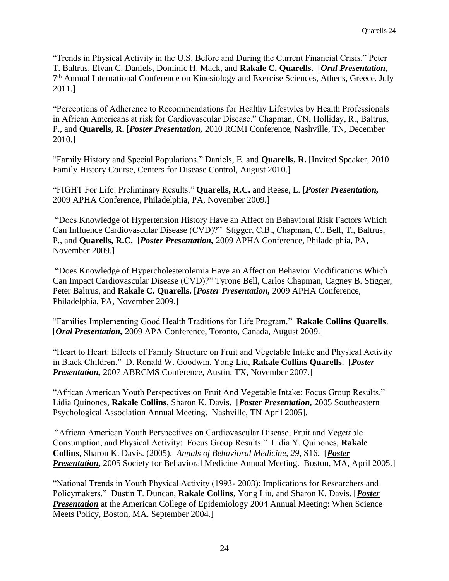"Trends in Physical Activity in the U.S. Before and During the Current Financial Crisis." Peter T. Baltrus, Elvan C. Daniels, Dominic H. Mack, and **Rakale C. Quarells**. [*Oral Presentation*, 7<sup>th</sup> Annual International Conference on Kinesiology and Exercise Sciences, Athens, Greece. July 2011.]

"Perceptions of Adherence to Recommendations for Healthy Lifestyles by Health Professionals in African Americans at risk for Cardiovascular Disease." Chapman, CN, Holliday, R., Baltrus, P., and **Quarells, R.** [*Poster Presentation,* 2010 RCMI Conference, Nashville, TN, December 2010.]

"Family History and Special Populations." Daniels, E. and **Quarells, R.** [Invited Speaker, 2010 Family History Course, Centers for Disease Control, August 2010.]

"FIGHT For Life: Preliminary Results." **Quarells, R.C.** and Reese, L. [*Poster Presentation,* 2009 APHA Conference, Philadelphia, PA, November 2009.]

"Does Knowledge of Hypertension History Have an Affect on Behavioral Risk Factors Which Can Influence Cardiovascular Disease (CVD)?" Stigger, C.B., Chapman, C., Bell, T., Baltrus, P., and **Quarells, R.C.** [*Poster Presentation,* 2009 APHA Conference, Philadelphia, PA, November 2009.]

"Does Knowledge of Hypercholesterolemia Have an Affect on Behavior Modifications Which Can Impact Cardiovascular Disease (CVD)?" Tyrone Bell, Carlos Chapman, Cagney B. Stigger, Peter Baltrus, and **Rakale C. Quarells.** [*Poster Presentation,* 2009 APHA Conference, Philadelphia, PA, November 2009.]

"Families Implementing Good Health Traditions for Life Program." **Rakale Collins Quarells**. [*Oral Presentation,* 2009 APA Conference, Toronto, Canada, August 2009.]

"Heart to Heart: Effects of Family Structure on Fruit and Vegetable Intake and Physical Activity in Black Children." D. Ronald W. Goodwin, Yong Liu, **Rakale Collins Quarells**. [*Poster Presentation,* 2007 ABRCMS Conference, Austin, TX, November 2007.]

"African American Youth Perspectives on Fruit And Vegetable Intake: Focus Group Results." Lidia Quinones, **Rakale Collins**, Sharon K. Davis. [*Poster Presentation,* 2005 Southeastern Psychological Association Annual Meeting. Nashville, TN April 2005].

"African American Youth Perspectives on Cardiovascular Disease, Fruit and Vegetable Consumption, and Physical Activity: Focus Group Results." Lidia Y. Quinones, **Rakale Collins**, Sharon K. Davis. (2005). *Annals of Behavioral Medicine, 29*, S16. [*Poster Presentation,* 2005 Society for Behavioral Medicine Annual Meeting. Boston, MA, April 2005.]

"National Trends in Youth Physical Activity (1993- 2003): Implications for Researchers and Policymakers." Dustin T. Duncan, **Rakale Collins**, Yong Liu, and Sharon K. Davis. [*Poster*  **Presentation** at the American College of Epidemiology 2004 Annual Meeting: When Science Meets Policy, Boston, MA. September 2004.]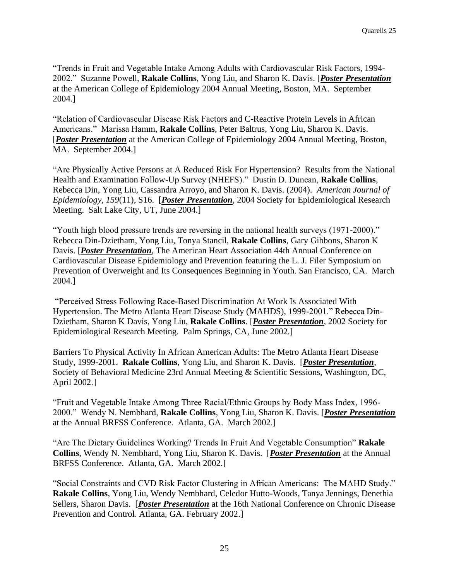"Trends in Fruit and Vegetable Intake Among Adults with Cardiovascular Risk Factors, 1994- 2002." Suzanne Powell, **Rakale Collins**, Yong Liu, and Sharon K. Davis. [*Poster Presentation* at the American College of Epidemiology 2004 Annual Meeting, Boston, MA. September 2004.]

"Relation of Cardiovascular Disease Risk Factors and C-Reactive Protein Levels in African Americans." Marissa Hamm, **Rakale Collins**, Peter Baltrus, Yong Liu, Sharon K. Davis. [*Poster Presentation* at the American College of Epidemiology 2004 Annual Meeting, Boston, MA. September 2004.]

"Are Physically Active Persons at A Reduced Risk For Hypertension? Results from the National Health and Examination Follow-Up Survey (NHEFS)." Dustin D. Duncan, **Rakale Collins**, Rebecca Din, Yong Liu, Cassandra Arroyo, and Sharon K. Davis. (2004). *American Journal of Epidemiology, 159*(11), S16. [*Poster Presentation*, 2004 Society for Epidemiological Research Meeting. Salt Lake City, UT, June 2004.]

"Youth high blood pressure trends are reversing in the national health surveys (1971-2000)." Rebecca Din-Dzietham, Yong Liu, Tonya Stancil, **Rakale Collins**, Gary Gibbons, Sharon K Davis. [*Poster Presentation*, The American Heart Association 44th Annual Conference on Cardiovascular Disease Epidemiology and Prevention featuring the L. J. Filer Symposium on Prevention of Overweight and Its Consequences Beginning in Youth. San Francisco, CA. March 2004.]

"Perceived Stress Following Race-Based Discrimination At Work Is Associated With Hypertension. The Metro Atlanta Heart Disease Study (MAHDS), 1999-2001." Rebecca Din-Dzietham, Sharon K Davis, Yong Liu, **Rakale Collins**. [*Poster Presentation*, 2002 Society for Epidemiological Research Meeting. Palm Springs, CA, June 2002.]

Barriers To Physical Activity In African American Adults: The Metro Atlanta Heart Disease Study, 1999-2001. **Rakale Collins**, Yong Liu, and Sharon K. Davis. [*Poster Presentation*, Society of Behavioral Medicine 23rd Annual Meeting & Scientific Sessions, Washington, DC, April 2002.]

"Fruit and Vegetable Intake Among Three Racial/Ethnic Groups by Body Mass Index, 1996- 2000." Wendy N. Nembhard, **Rakale Collins**, Yong Liu, Sharon K. Davis. [*Poster Presentation* at the Annual BRFSS Conference. Atlanta, GA. March 2002.]

"Are The Dietary Guidelines Working? Trends In Fruit And Vegetable Consumption" **Rakale Collins**, Wendy N. Nembhard, Yong Liu, Sharon K. Davis. [*Poster Presentation* at the Annual BRFSS Conference. Atlanta, GA. March 2002.]

"Social Constraints and CVD Risk Factor Clustering in African Americans: The MAHD Study." **Rakale Collins**, Yong Liu, Wendy Nembhard, Celedor Hutto-Woods, Tanya Jennings, Denethia Sellers, Sharon Davis. [*Poster Presentation* at the 16th National Conference on Chronic Disease Prevention and Control. Atlanta, GA. February 2002.]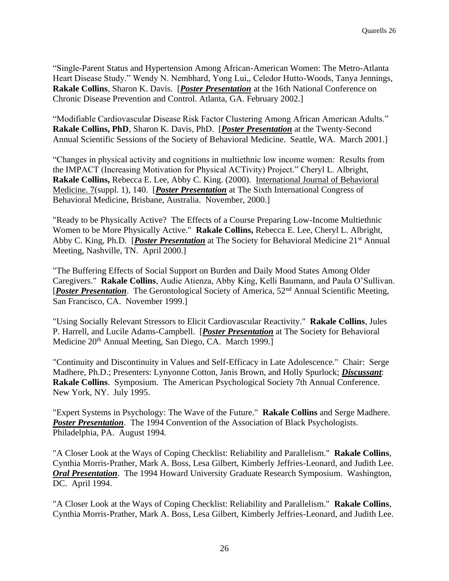"Single-Parent Status and Hypertension Among African-American Women: The Metro-Atlanta Heart Disease Study." Wendy N. Nembhard, Yong Lui,, Celedor Hutto-Woods, Tanya Jennings, **Rakale Collins**, Sharon K. Davis. [*Poster Presentation* at the 16th National Conference on Chronic Disease Prevention and Control. Atlanta, GA. February 2002.]

"Modifiable Cardiovascular Disease Risk Factor Clustering Among African American Adults." **Rakale Collins, PhD**, Sharon K. Davis, PhD. [*Poster Presentation* at the Twenty-Second Annual Scientific Sessions of the Society of Behavioral Medicine. Seattle, WA. March 2001.]

"Changes in physical activity and cognitions in multiethnic low income women: Results from the IMPACT (Increasing Motivation for Physical ACTivity) Project." Cheryl L. Albright, **Rakale Collins,** Rebecca E. Lee, Abby C. King. (2000). International Journal of Behavioral Medicine. 7(suppl. 1), 140. [*Poster Presentation* at The Sixth International Congress of Behavioral Medicine, Brisbane, Australia. November, 2000.]

"Ready to be Physically Active? The Effects of a Course Preparing Low-Income Multiethnic Women to be More Physically Active." **Rakale Collins,** Rebecca E. Lee, Cheryl L. Albright, Abby C. King, Ph.D. [*Poster Presentation* at The Society for Behavioral Medicine 21<sup>st</sup> Annual Meeting, Nashville, TN. April 2000.]

"The Buffering Effects of Social Support on Burden and Daily Mood States Among Older Caregivers." **Rakale Collins**, Audie Atienza, Abby King, Kelli Baumann, and Paula O'Sullivan. [*Poster Presentation*. The Gerontological Society of America, 52nd Annual Scientific Meeting, San Francisco, CA. November 1999.]

"Using Socially Relevant Stressors to Elicit Cardiovascular Reactivity." **Rakale Collins**, Jules P. Harrell, and Lucile Adams-Campbell. [*Poster Presentation* at The Society for Behavioral Medicine 20th Annual Meeting, San Diego, CA. March 1999.]

"Continuity and Discontinuity in Values and Self-Efficacy in Late Adolescence." Chair: Serge Madhere, Ph.D.; Presenters: Lynyonne Cotton, Janis Brown, and Holly Spurlock; *Discussant*: **Rakale Collins**. Symposium. The American Psychological Society 7th Annual Conference. New York, NY. July 1995.

"Expert Systems in Psychology: The Wave of the Future." **Rakale Collins** and Serge Madhere. **Poster Presentation**. The 1994 Convention of the Association of Black Psychologists. Philadelphia, PA. August 1994.

"A Closer Look at the Ways of Coping Checklist: Reliability and Parallelism." **Rakale Collins**, Cynthia Morris-Prather, Mark A. Boss, Lesa Gilbert, Kimberly Jeffries-Leonard, and Judith Lee. *Oral Presentation*. The 1994 Howard University Graduate Research Symposium. Washington, DC. April 1994.

"A Closer Look at the Ways of Coping Checklist: Reliability and Parallelism." **Rakale Collins**, Cynthia Morris-Prather, Mark A. Boss, Lesa Gilbert, Kimberly Jeffries-Leonard, and Judith Lee.